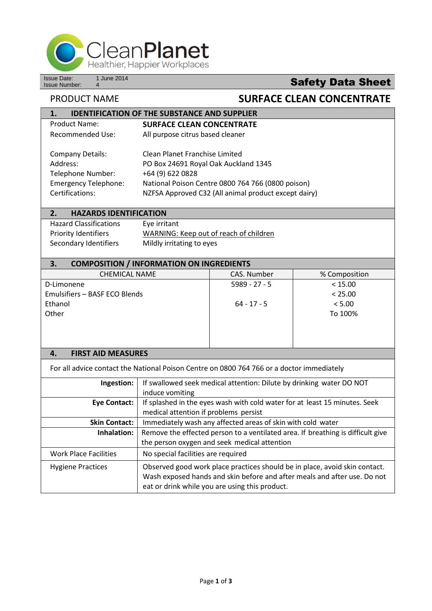

Issue Date: 1 June 2014<br>Issue Number: 4

## **Safety Data Sheet**

## PRODUCT NAME **SURFACE CLEAN CONCENTRATE**

| <b>IDENTIFICATION OF THE SUBSTANCE AND SUPPLIER</b><br>1.                                 |                                                                                 |                                                                      |               |  |  |
|-------------------------------------------------------------------------------------------|---------------------------------------------------------------------------------|----------------------------------------------------------------------|---------------|--|--|
| <b>Product Name:</b>                                                                      | <b>SURFACE CLEAN CONCENTRATE</b>                                                |                                                                      |               |  |  |
| <b>Recommended Use:</b>                                                                   | All purpose citrus based cleaner                                                |                                                                      |               |  |  |
| <b>Company Details:</b>                                                                   | Clean Planet Franchise Limited                                                  |                                                                      |               |  |  |
| Address:                                                                                  | PO Box 24691 Royal Oak Auckland 1345                                            |                                                                      |               |  |  |
| Telephone Number:                                                                         | +64 (9) 622 0828                                                                |                                                                      |               |  |  |
| <b>Emergency Telephone:</b>                                                               | National Poison Centre 0800 764 766 (0800 poison)                               |                                                                      |               |  |  |
| Certifications:                                                                           | NZFSA Approved C32 (All animal product except dairy)                            |                                                                      |               |  |  |
| 2.<br><b>HAZARDS IDENTIFICATION</b>                                                       |                                                                                 |                                                                      |               |  |  |
| <b>Hazard Classifications</b>                                                             | Eye irritant                                                                    |                                                                      |               |  |  |
| <b>Priority Identifiers</b>                                                               | WARNING: Keep out of reach of children                                          |                                                                      |               |  |  |
| Secondary Identifiers                                                                     | Mildly irritating to eyes                                                       |                                                                      |               |  |  |
| 3.<br><b>COMPOSITION / INFORMATION ON INGREDIENTS</b>                                     |                                                                                 |                                                                      |               |  |  |
| <b>CHEMICAL NAME</b>                                                                      |                                                                                 | CAS. Number                                                          | % Composition |  |  |
| D-Limonene                                                                                |                                                                                 | $5989 - 27 - 5$                                                      | < 15.00       |  |  |
| Emulsifiers - BASF ECO Blends                                                             |                                                                                 |                                                                      | < 25.00       |  |  |
| Ethanol                                                                                   |                                                                                 | 64 - 17 - 5                                                          | < 5.00        |  |  |
| Other                                                                                     |                                                                                 |                                                                      | To 100%       |  |  |
|                                                                                           |                                                                                 |                                                                      |               |  |  |
|                                                                                           |                                                                                 |                                                                      |               |  |  |
|                                                                                           |                                                                                 |                                                                      |               |  |  |
| <b>FIRST AID MEASURES</b><br>4.                                                           |                                                                                 |                                                                      |               |  |  |
| For all advice contact the National Poison Centre on 0800 764 766 or a doctor immediately |                                                                                 |                                                                      |               |  |  |
| Ingestion:                                                                                |                                                                                 | If swallowed seek medical attention: Dilute by drinking water DO NOT |               |  |  |
|                                                                                           | induce vomiting                                                                 |                                                                      |               |  |  |
| <b>Eye Contact:</b>                                                                       | If splashed in the eyes wash with cold water for at least 15 minutes. Seek      |                                                                      |               |  |  |
|                                                                                           | medical attention if problems persist                                           |                                                                      |               |  |  |
| <b>Skin Contact:</b>                                                                      | Immediately wash any affected areas of skin with cold water                     |                                                                      |               |  |  |
| Inhalation:                                                                               | Remove the effected person to a ventilated area. If breathing is difficult give |                                                                      |               |  |  |
|                                                                                           | the person oxygen and seek medical attention                                    |                                                                      |               |  |  |
| <b>Work Place Facilities</b>                                                              | No special facilities are required                                              |                                                                      |               |  |  |
| <b>Hygiene Practices</b>                                                                  | Observed good work place practices should be in place, avoid skin contact.      |                                                                      |               |  |  |
|                                                                                           | Wash exposed hands and skin before and after meals and after use. Do not        |                                                                      |               |  |  |

eat or drink while you are using this product.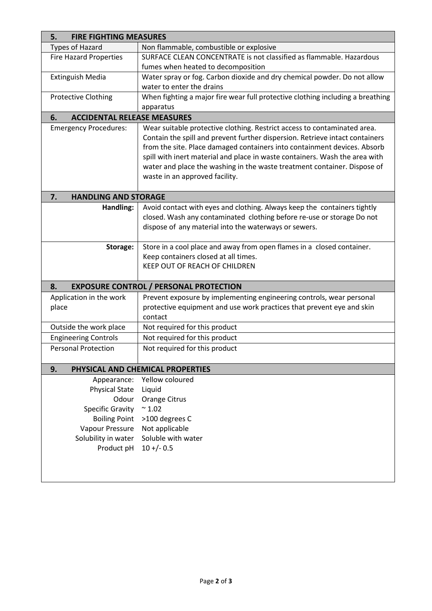| <b>FIRE FIGHTING MEASURES</b><br>5.                                                                                                                                                                                                                                                                              |                                                                                                                                                                                                                                                                                                                                                                                                                                                                                                                                                                                                                                                                                                                                                                                                                                                  |  |  |
|------------------------------------------------------------------------------------------------------------------------------------------------------------------------------------------------------------------------------------------------------------------------------------------------------------------|--------------------------------------------------------------------------------------------------------------------------------------------------------------------------------------------------------------------------------------------------------------------------------------------------------------------------------------------------------------------------------------------------------------------------------------------------------------------------------------------------------------------------------------------------------------------------------------------------------------------------------------------------------------------------------------------------------------------------------------------------------------------------------------------------------------------------------------------------|--|--|
| <b>Types of Hazard</b>                                                                                                                                                                                                                                                                                           | Non flammable, combustible or explosive                                                                                                                                                                                                                                                                                                                                                                                                                                                                                                                                                                                                                                                                                                                                                                                                          |  |  |
| <b>Fire Hazard Properties</b>                                                                                                                                                                                                                                                                                    | SURFACE CLEAN CONCENTRATE is not classified as flammable. Hazardous                                                                                                                                                                                                                                                                                                                                                                                                                                                                                                                                                                                                                                                                                                                                                                              |  |  |
|                                                                                                                                                                                                                                                                                                                  | fumes when heated to decomposition                                                                                                                                                                                                                                                                                                                                                                                                                                                                                                                                                                                                                                                                                                                                                                                                               |  |  |
| <b>Extinguish Media</b>                                                                                                                                                                                                                                                                                          | Water spray or fog. Carbon dioxide and dry chemical powder. Do not allow                                                                                                                                                                                                                                                                                                                                                                                                                                                                                                                                                                                                                                                                                                                                                                         |  |  |
|                                                                                                                                                                                                                                                                                                                  | water to enter the drains                                                                                                                                                                                                                                                                                                                                                                                                                                                                                                                                                                                                                                                                                                                                                                                                                        |  |  |
| <b>Protective Clothing</b>                                                                                                                                                                                                                                                                                       | When fighting a major fire wear full protective clothing including a breathing                                                                                                                                                                                                                                                                                                                                                                                                                                                                                                                                                                                                                                                                                                                                                                   |  |  |
|                                                                                                                                                                                                                                                                                                                  | apparatus                                                                                                                                                                                                                                                                                                                                                                                                                                                                                                                                                                                                                                                                                                                                                                                                                                        |  |  |
| <b>ACCIDENTAL RELEASE MEASURES</b><br>6.                                                                                                                                                                                                                                                                         |                                                                                                                                                                                                                                                                                                                                                                                                                                                                                                                                                                                                                                                                                                                                                                                                                                                  |  |  |
| <b>Emergency Procedures:</b>                                                                                                                                                                                                                                                                                     | Wear suitable protective clothing. Restrict access to contaminated area.                                                                                                                                                                                                                                                                                                                                                                                                                                                                                                                                                                                                                                                                                                                                                                         |  |  |
|                                                                                                                                                                                                                                                                                                                  | Contain the spill and prevent further dispersion. Retrieve intact containers                                                                                                                                                                                                                                                                                                                                                                                                                                                                                                                                                                                                                                                                                                                                                                     |  |  |
|                                                                                                                                                                                                                                                                                                                  |                                                                                                                                                                                                                                                                                                                                                                                                                                                                                                                                                                                                                                                                                                                                                                                                                                                  |  |  |
|                                                                                                                                                                                                                                                                                                                  |                                                                                                                                                                                                                                                                                                                                                                                                                                                                                                                                                                                                                                                                                                                                                                                                                                                  |  |  |
|                                                                                                                                                                                                                                                                                                                  |                                                                                                                                                                                                                                                                                                                                                                                                                                                                                                                                                                                                                                                                                                                                                                                                                                                  |  |  |
|                                                                                                                                                                                                                                                                                                                  |                                                                                                                                                                                                                                                                                                                                                                                                                                                                                                                                                                                                                                                                                                                                                                                                                                                  |  |  |
|                                                                                                                                                                                                                                                                                                                  |                                                                                                                                                                                                                                                                                                                                                                                                                                                                                                                                                                                                                                                                                                                                                                                                                                                  |  |  |
|                                                                                                                                                                                                                                                                                                                  |                                                                                                                                                                                                                                                                                                                                                                                                                                                                                                                                                                                                                                                                                                                                                                                                                                                  |  |  |
|                                                                                                                                                                                                                                                                                                                  |                                                                                                                                                                                                                                                                                                                                                                                                                                                                                                                                                                                                                                                                                                                                                                                                                                                  |  |  |
|                                                                                                                                                                                                                                                                                                                  |                                                                                                                                                                                                                                                                                                                                                                                                                                                                                                                                                                                                                                                                                                                                                                                                                                                  |  |  |
|                                                                                                                                                                                                                                                                                                                  |                                                                                                                                                                                                                                                                                                                                                                                                                                                                                                                                                                                                                                                                                                                                                                                                                                                  |  |  |
| Storage:                                                                                                                                                                                                                                                                                                         | Store in a cool place and away from open flames in a closed container.                                                                                                                                                                                                                                                                                                                                                                                                                                                                                                                                                                                                                                                                                                                                                                           |  |  |
|                                                                                                                                                                                                                                                                                                                  | Keep containers closed at all times.                                                                                                                                                                                                                                                                                                                                                                                                                                                                                                                                                                                                                                                                                                                                                                                                             |  |  |
|                                                                                                                                                                                                                                                                                                                  | KEEP OUT OF REACH OF CHILDREN                                                                                                                                                                                                                                                                                                                                                                                                                                                                                                                                                                                                                                                                                                                                                                                                                    |  |  |
|                                                                                                                                                                                                                                                                                                                  |                                                                                                                                                                                                                                                                                                                                                                                                                                                                                                                                                                                                                                                                                                                                                                                                                                                  |  |  |
| 8.<br><b>EXPOSURE CONTROL / PERSONAL PROTECTION</b>                                                                                                                                                                                                                                                              |                                                                                                                                                                                                                                                                                                                                                                                                                                                                                                                                                                                                                                                                                                                                                                                                                                                  |  |  |
| Application in the work                                                                                                                                                                                                                                                                                          | Prevent exposure by implementing engineering controls, wear personal                                                                                                                                                                                                                                                                                                                                                                                                                                                                                                                                                                                                                                                                                                                                                                             |  |  |
|                                                                                                                                                                                                                                                                                                                  |                                                                                                                                                                                                                                                                                                                                                                                                                                                                                                                                                                                                                                                                                                                                                                                                                                                  |  |  |
|                                                                                                                                                                                                                                                                                                                  | contact                                                                                                                                                                                                                                                                                                                                                                                                                                                                                                                                                                                                                                                                                                                                                                                                                                          |  |  |
|                                                                                                                                                                                                                                                                                                                  |                                                                                                                                                                                                                                                                                                                                                                                                                                                                                                                                                                                                                                                                                                                                                                                                                                                  |  |  |
|                                                                                                                                                                                                                                                                                                                  |                                                                                                                                                                                                                                                                                                                                                                                                                                                                                                                                                                                                                                                                                                                                                                                                                                                  |  |  |
|                                                                                                                                                                                                                                                                                                                  |                                                                                                                                                                                                                                                                                                                                                                                                                                                                                                                                                                                                                                                                                                                                                                                                                                                  |  |  |
|                                                                                                                                                                                                                                                                                                                  |                                                                                                                                                                                                                                                                                                                                                                                                                                                                                                                                                                                                                                                                                                                                                                                                                                                  |  |  |
|                                                                                                                                                                                                                                                                                                                  |                                                                                                                                                                                                                                                                                                                                                                                                                                                                                                                                                                                                                                                                                                                                                                                                                                                  |  |  |
|                                                                                                                                                                                                                                                                                                                  |                                                                                                                                                                                                                                                                                                                                                                                                                                                                                                                                                                                                                                                                                                                                                                                                                                                  |  |  |
|                                                                                                                                                                                                                                                                                                                  |                                                                                                                                                                                                                                                                                                                                                                                                                                                                                                                                                                                                                                                                                                                                                                                                                                                  |  |  |
|                                                                                                                                                                                                                                                                                                                  |                                                                                                                                                                                                                                                                                                                                                                                                                                                                                                                                                                                                                                                                                                                                                                                                                                                  |  |  |
|                                                                                                                                                                                                                                                                                                                  |                                                                                                                                                                                                                                                                                                                                                                                                                                                                                                                                                                                                                                                                                                                                                                                                                                                  |  |  |
|                                                                                                                                                                                                                                                                                                                  |                                                                                                                                                                                                                                                                                                                                                                                                                                                                                                                                                                                                                                                                                                                                                                                                                                                  |  |  |
|                                                                                                                                                                                                                                                                                                                  |                                                                                                                                                                                                                                                                                                                                                                                                                                                                                                                                                                                                                                                                                                                                                                                                                                                  |  |  |
|                                                                                                                                                                                                                                                                                                                  |                                                                                                                                                                                                                                                                                                                                                                                                                                                                                                                                                                                                                                                                                                                                                                                                                                                  |  |  |
|                                                                                                                                                                                                                                                                                                                  |                                                                                                                                                                                                                                                                                                                                                                                                                                                                                                                                                                                                                                                                                                                                                                                                                                                  |  |  |
|                                                                                                                                                                                                                                                                                                                  |                                                                                                                                                                                                                                                                                                                                                                                                                                                                                                                                                                                                                                                                                                                                                                                                                                                  |  |  |
|                                                                                                                                                                                                                                                                                                                  |                                                                                                                                                                                                                                                                                                                                                                                                                                                                                                                                                                                                                                                                                                                                                                                                                                                  |  |  |
| 7.<br><b>HANDLING AND STORAGE</b><br>Handling:<br>place<br>Outside the work place<br><b>Engineering Controls</b><br><b>Personal Protection</b><br>9.<br>Appearance:<br><b>Physical State</b><br>Odour<br><b>Specific Gravity</b><br><b>Boiling Point</b><br>Vapour Pressure<br>Solubility in water<br>Product pH | from the site. Place damaged containers into containment devices. Absorb<br>spill with inert material and place in waste containers. Wash the area with<br>water and place the washing in the waste treatment container. Dispose of<br>waste in an approved facility.<br>Avoid contact with eyes and clothing. Always keep the containers tightly<br>closed. Wash any contaminated clothing before re-use or storage Do not<br>dispose of any material into the waterways or sewers.<br>protective equipment and use work practices that prevent eye and skin<br>Not required for this product<br>Not required for this product<br>Not required for this product<br>PHYSICAL AND CHEMICAL PROPERTIES<br>Yellow coloured<br>Liquid<br>Orange Citrus<br>$~^{\sim} 1.02$<br>>100 degrees C<br>Not applicable<br>Soluble with water<br>$10 + (-0.5)$ |  |  |